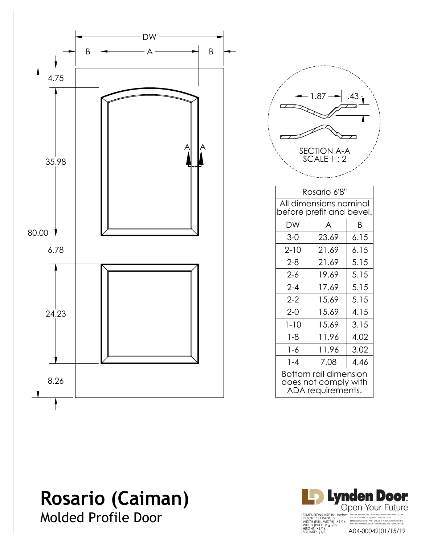

|                                                                           | 1.87                                                               |      |  |  |  |  |
|---------------------------------------------------------------------------|--------------------------------------------------------------------|------|--|--|--|--|
| <b>SECTION A-A</b><br>SCALE 1:2                                           |                                                                    |      |  |  |  |  |
|                                                                           | Rosario 6'8"<br>All dimensions nominal<br>before prefit and bevel. |      |  |  |  |  |
| DW                                                                        | A                                                                  | Β    |  |  |  |  |
| $3-0$                                                                     | 23.69                                                              | 6.15 |  |  |  |  |
| $2 - 10$                                                                  | 21.69                                                              | 6.15 |  |  |  |  |
| $2 - 8$                                                                   | 21.69                                                              | 5.15 |  |  |  |  |
| $2 - 6$                                                                   | 19.69                                                              | 5.15 |  |  |  |  |
| $2 - 4$                                                                   | 17.69                                                              | 5.15 |  |  |  |  |
| $2 - 2$                                                                   | 15.69                                                              | 5.15 |  |  |  |  |
| $2 - 0$                                                                   | 15.69                                                              | 4.15 |  |  |  |  |
| $1 - 10$                                                                  | 15.69                                                              | 3.15 |  |  |  |  |
| $1 - 8$                                                                   | 11.96                                                              | 4.02 |  |  |  |  |
| $1 - 6$                                                                   | 11.96                                                              | 3.02 |  |  |  |  |
| $1 - 4$                                                                   | 7.08                                                               | 4.46 |  |  |  |  |
| <b>Bottom rail dimension</b><br>does not comply with<br>ADA requirements. |                                                                    |      |  |  |  |  |

# **Rosario (Caiman)**

Molded Profile Door

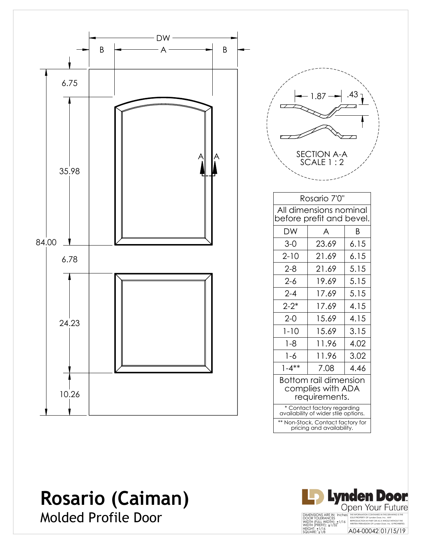

#### **Rosario (Caiman)** Molded Profile Door

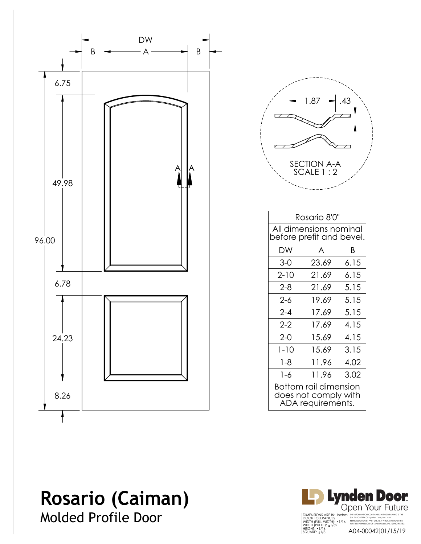

|                          | 1.87                                                         | .43  |  |  |  |  |
|--------------------------|--------------------------------------------------------------|------|--|--|--|--|
|                          |                                                              |      |  |  |  |  |
| SECTION A-A<br>SCALE 1:2 |                                                              |      |  |  |  |  |
|                          |                                                              |      |  |  |  |  |
|                          | Rosario 8'0"                                                 |      |  |  |  |  |
|                          | All dimensions nominal<br>before prefit and bevel.<br>A<br>Β |      |  |  |  |  |
| DW                       |                                                              |      |  |  |  |  |
| $3-0$                    | 23.69                                                        | 6.15 |  |  |  |  |
| $2 - 10$                 | 21.69                                                        | 6.15 |  |  |  |  |
| $2 - 8$                  | 21.69                                                        | 5.15 |  |  |  |  |
| $2 - 6$                  | 19.69                                                        | 5.15 |  |  |  |  |
| $2 - 4$                  | 17.69                                                        | 5.15 |  |  |  |  |
| $2 - 2$                  | 17.69                                                        | 4.15 |  |  |  |  |
| $2 - 0$                  | 15.69                                                        | 4.15 |  |  |  |  |
| $1 - 10$                 | 15.69                                                        | 3.15 |  |  |  |  |

juurimmused ja kaupunki kuuluvat kuuluvat kuuluvat kuuluvat kuuluvat kuuluvat kuuluvat kuuluvat kuuluvat kuulu<br>Tallisti kuuluvat kuuluvat kuuluvat kuuluvat kuuluvat kuuluvat kuuluvat kuuluvat kuuluvat kuuluvat kuuluvat ku

1-8 11.96 4.02  $1-6$  11.96 3.02 Bottom rail dimension does not comply with ADA requirements.

### **Rosario (Caiman)** Molded Profile Door

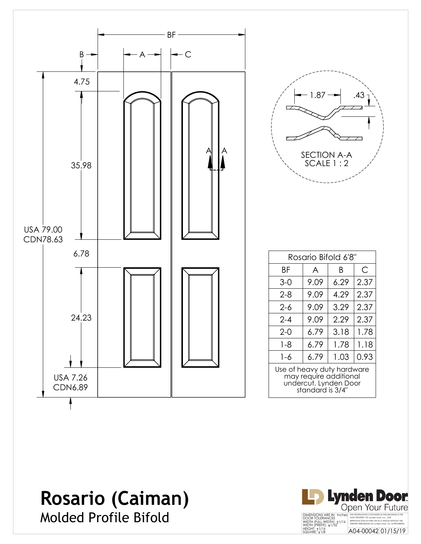

#### **Rosario (Caiman)** Molded Profile Bifold

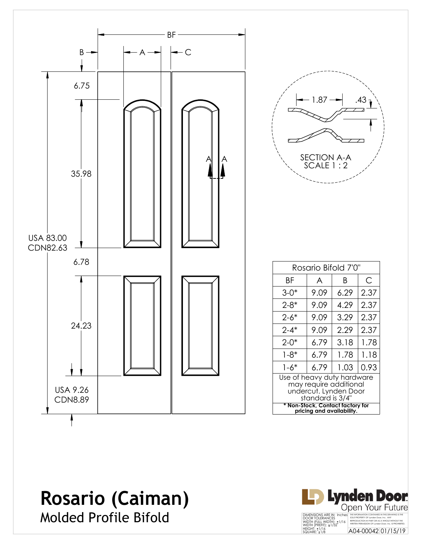

#### **Rosario (Caiman)** Molded Profile Bifold

**Lynden Door** Open Your Future DIMENSIONS ARE IN: Inches<br>DOOR TOLERANCES<br>WIDTH (FULL WIDTH): ±1/16<br>WIDTH (PREFIT): ±1/32<br>HEIGHT: ±1/16<br>SQUARE: ±1/8 THE INFORMATION CONTAINED IN THIS DRAWING IS THE SOLE PROPERTY OF Lynden Door, Inc. ANY REPRODUCTION IN PART OR AS A WHOLE WITHOUT THE WRITTEN PERMISSION OF Lynden Door, Inc. IS PROHIBITED. A04-00042 01/15/19